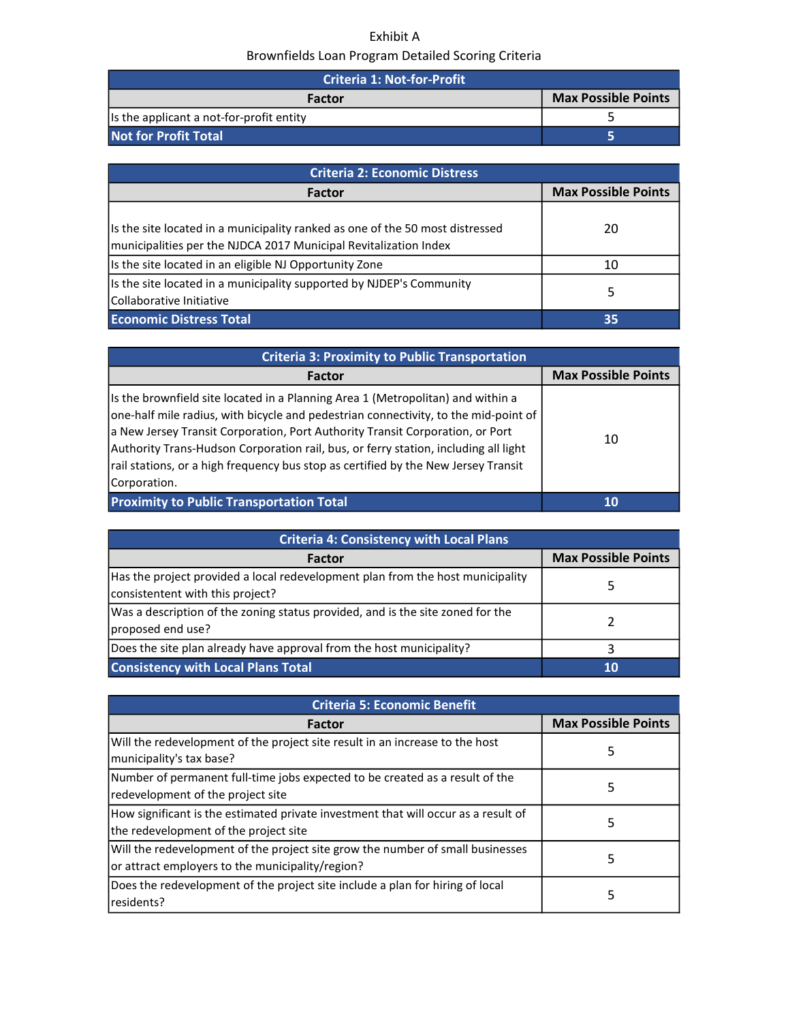## Exhibit A Brownfields Loan Program Detailed Scoring Criteria

| <b>Criteria 1: Not-for-Profit</b>         |                            |
|-------------------------------------------|----------------------------|
| Factor                                    | <b>Max Possible Points</b> |
| Its the applicant a not-for-profit entity |                            |
| Not for Profit Total                      |                            |

| <b>Criteria 2: Economic Distress</b>                                                                                                              |                            |
|---------------------------------------------------------------------------------------------------------------------------------------------------|----------------------------|
| <b>Factor</b>                                                                                                                                     | <b>Max Possible Points</b> |
| Is the site located in a municipality ranked as one of the 50 most distressed<br>municipalities per the NJDCA 2017 Municipal Revitalization Index | 20                         |
| Is the site located in an eligible NJ Opportunity Zone                                                                                            | 10                         |
| Is the site located in a municipality supported by NJDEP's Community<br>Collaborative Initiative                                                  | 5.                         |
| <b>Economic Distress Total</b>                                                                                                                    | 35                         |

| <b>Criteria 3: Proximity to Public Transportation</b>                                                                                                                                                                                                                                                                                                                                                                                                |                            |
|------------------------------------------------------------------------------------------------------------------------------------------------------------------------------------------------------------------------------------------------------------------------------------------------------------------------------------------------------------------------------------------------------------------------------------------------------|----------------------------|
| Factor                                                                                                                                                                                                                                                                                                                                                                                                                                               | <b>Max Possible Points</b> |
| Is the brownfield site located in a Planning Area 1 (Metropolitan) and within a<br>one-half mile radius, with bicycle and pedestrian connectivity, to the mid-point of<br>a New Jersey Transit Corporation, Port Authority Transit Corporation, or Port<br>Authority Trans-Hudson Corporation rail, bus, or ferry station, including all light<br>rail stations, or a high frequency bus stop as certified by the New Jersey Transit<br>Corporation. | 10                         |
| <b>Proximity to Public Transportation Total</b>                                                                                                                                                                                                                                                                                                                                                                                                      | 10                         |

| <b>Criteria 4: Consistency with Local Plans</b>                                                                    |                            |
|--------------------------------------------------------------------------------------------------------------------|----------------------------|
| <b>Factor</b>                                                                                                      | <b>Max Possible Points</b> |
| Has the project provided a local redevelopment plan from the host municipality<br>consistentent with this project? |                            |
| Was a description of the zoning status provided, and is the site zoned for the<br>proposed end use?                |                            |
| Does the site plan already have approval from the host municipality?                                               |                            |
| <b>Consistency with Local Plans Total</b>                                                                          | 10                         |

| <b>Criteria 5: Economic Benefit</b>                                                                                                |                            |
|------------------------------------------------------------------------------------------------------------------------------------|----------------------------|
| <b>Factor</b>                                                                                                                      | <b>Max Possible Points</b> |
| Will the redevelopment of the project site result in an increase to the host<br>municipality's tax base?                           | 5                          |
| Number of permanent full-time jobs expected to be created as a result of the<br>redevelopment of the project site                  | 5                          |
| How significant is the estimated private investment that will occur as a result of<br>the redevelopment of the project site        | 5                          |
| Will the redevelopment of the project site grow the number of small businesses<br>or attract employers to the municipality/region? | 5.                         |
| Does the redevelopment of the project site include a plan for hiring of local<br>residents?                                        | 5.                         |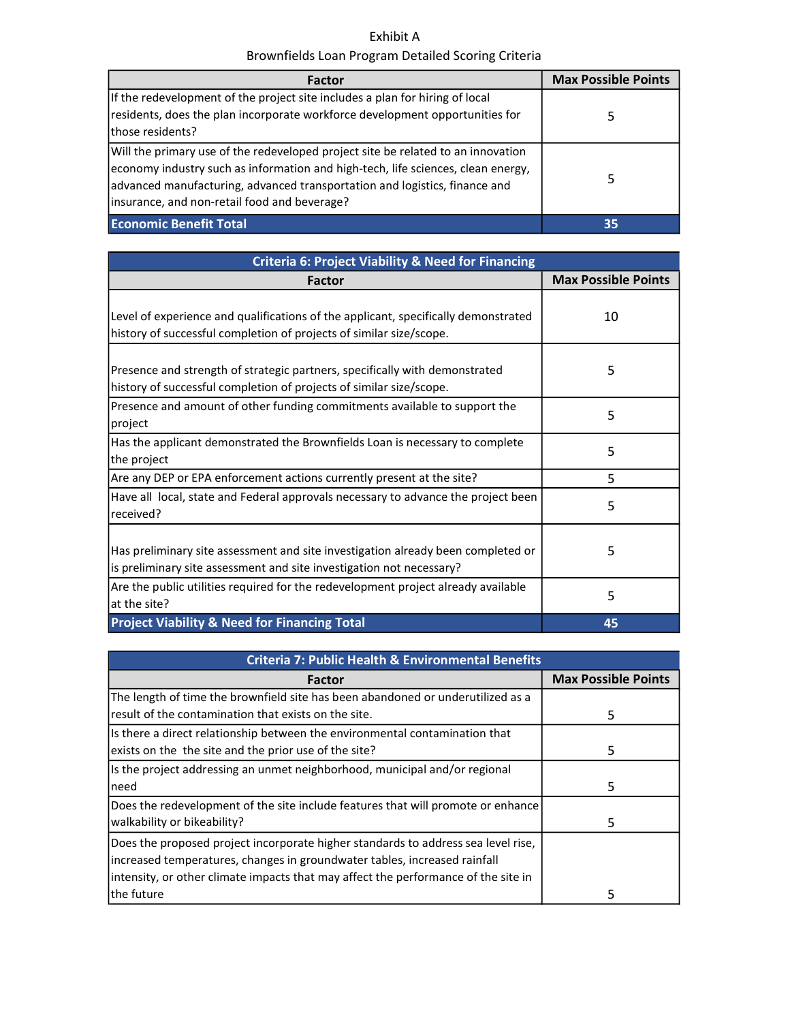## Exhibit A Brownfields Loan Program Detailed Scoring Criteria

| Factor                                                                                                                                                                                                                                                                                              | <b>Max Possible Points</b> |
|-----------------------------------------------------------------------------------------------------------------------------------------------------------------------------------------------------------------------------------------------------------------------------------------------------|----------------------------|
| If the redevelopment of the project site includes a plan for hiring of local<br>residents, does the plan incorporate workforce development opportunities for<br>Ithose residents?                                                                                                                   | 5.                         |
| Will the primary use of the redeveloped project site be related to an innovation<br>economy industry such as information and high-tech, life sciences, clean energy,<br>advanced manufacturing, advanced transportation and logistics, finance and<br>linsurance, and non-retail food and beverage? | 5                          |
| <b>Economic Benefit Total</b>                                                                                                                                                                                                                                                                       | 35                         |

| <b>Criteria 6: Project Viability &amp; Need for Financing</b>                                                                                             |                            |
|-----------------------------------------------------------------------------------------------------------------------------------------------------------|----------------------------|
| <b>Factor</b>                                                                                                                                             | <b>Max Possible Points</b> |
| Level of experience and qualifications of the applicant, specifically demonstrated<br>history of successful completion of projects of similar size/scope. | 10                         |
| Presence and strength of strategic partners, specifically with demonstrated<br>history of successful completion of projects of similar size/scope.        | 5                          |
| Presence and amount of other funding commitments available to support the<br>project                                                                      | 5                          |
| Has the applicant demonstrated the Brownfields Loan is necessary to complete<br>the project                                                               | 5                          |
| Are any DEP or EPA enforcement actions currently present at the site?                                                                                     | 5                          |
| Have all local, state and Federal approvals necessary to advance the project been<br>received?                                                            | 5                          |
| Has preliminary site assessment and site investigation already been completed or<br>is preliminary site assessment and site investigation not necessary?  | 5                          |
| Are the public utilities required for the redevelopment project already available<br>at the site?                                                         | 5                          |
| <b>Project Viability &amp; Need for Financing Total</b>                                                                                                   | 45                         |

| <b>Criteria 7: Public Health &amp; Environmental Benefits</b>                      |                            |
|------------------------------------------------------------------------------------|----------------------------|
| Factor                                                                             | <b>Max Possible Points</b> |
| The length of time the brownfield site has been abandoned or underutilized as a    |                            |
| result of the contamination that exists on the site.                               | 5                          |
| Is there a direct relationship between the environmental contamination that        |                            |
| exists on the the site and the prior use of the site?                              | 5                          |
| Is the project addressing an unmet neighborhood, municipal and/or regional         |                            |
| need                                                                               | 5                          |
| Does the redevelopment of the site include features that will promote or enhance   |                            |
| walkability or bikeability?                                                        | 5                          |
| Does the proposed project incorporate higher standards to address sea level rise,  |                            |
| increased temperatures, changes in groundwater tables, increased rainfall          |                            |
| intensity, or other climate impacts that may affect the performance of the site in |                            |
| lthe future                                                                        | 5                          |